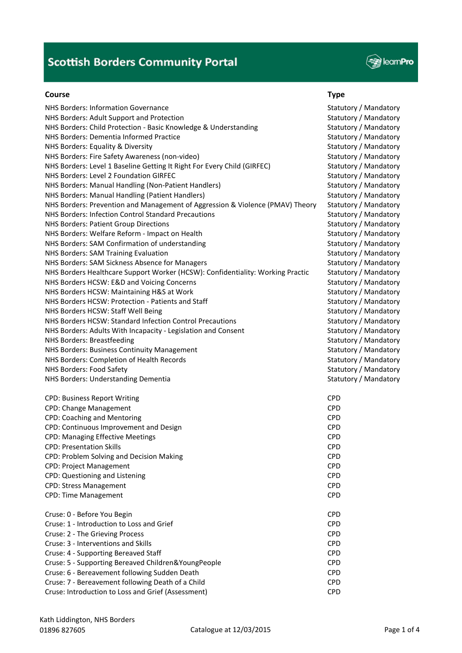

#### **Course Type**

NHS Borders: Information Governance Statutory / Mandatory / Mandatory / Mandatory NHS Borders: Adult Support and Protection Statutory / Mandatory / Mandatory / Mandatory / Mandatory NHS Borders: Child Protection - Basic Knowledge & Understanding Statutory / Mandatory / Mandatory NHS Borders: Dementia Informed Practice Statutory / Mandatory / Mandatory / Mandatory NHS Borders: Equality & Diversity Statutory / Mandatory Statutory / Mandatory / Mandatory NHS Borders: Fire Safety Awareness (non-video) Statutory / Mandatory / Mandatory / Mandatory NHS Borders: Level 1 Baseline Getting It Right For Every Child (GIRFEC) Statutory / Mandatory NHS Borders: Level 2 Foundation GIRFEC Statutory / Mandatory Statutory / Mandatory NHS Borders: Manual Handling (Non-Patient Handlers) Statutory / Mandatory / Mandatory NHS Borders: Manual Handling (Patient Handlers) Statutory / Mandatory Mandatory / Mandatory NHS Borders: Prevention and Management of Aggression & Violence (PMAV) Theory Statutory / Mandatory NHS Borders: Infection Control Standard Precautions Statutory / Mandatory / Mandatory NHS Borders: Patient Group Directions Statutory / Mandatory / Mandatory / Mandatory NHS Borders: Welfare Reform - Impact on Health Statutory / Mandatory / Mandatory / Mandatory NHS Borders: SAM Confirmation of understanding Statutory / Mandatory / Mandatory / Mandatory NHS Borders: SAM Training Evaluation Statutory / Mandatory / Mandatory / Mandatory NHS Borders: SAM Sickness Absence for Managers Statutory / Mandatory / Mandatory / Mandatory NHS Borders Healthcare Support Worker (HCSW): Confidentiality: Working Practic Statutory / Mandatory NHS Borders HCSW: E&D and Voicing Concerns Statutory / Mandatory / Mandatory / Mandatory NHS Borders HCSW: Maintaining H&S at Work Statutory / Mandatory / Mandatory / Mandatory NHS Borders HCSW: Protection - Patients and Staff Statutory / Mandatory / Mandatory NHS Borders HCSW: Staff Well Being Statutory / Mandatory Statutory / Mandatory / Mandatory NHS Borders HCSW: Standard Infection Control Precautions Statutory / Mandatory / Mandatory NHS Borders: Adults With Incapacity - Legislation and Consent Statutory / Mandatory / Mandatory NHS Borders: Breastfeeding Statutory / Mandatory Statutory / Mandatory 3 NHS Borders: Business Continuity Management Statutory / Mandatory / Mandatory / Mandatory / Mandatory / Manus NHS Borders: Completion of Health Records Statutory / Mandatory Statutory / Mandatory NHS Borders: Food Safety Statutory / Mandatory Statutory / Mandatory 3 NHS Borders: Understanding Dementia Statutory / Mandatory / Mandatory / Mandatory CPD: Business Report Writing CPD CPD: Change Management CPD and CPD control control of the CPD control control control control control control control control control control control control control control control control control control control control CPD: Coaching and Mentoring CPD CPD: Continuous Improvement and Design CPD CPD: Managing Effective Meetings CPD CPD: Presentation Skills CPD CPD: Problem Solving and Decision Making CPD CPD: Project Management CPD CPD: Questioning and Listening CPD CPD: Stress Management CPD CPD: Time Management CPD Cruse: 0 ‐ Before You Begin CPD Cruse: 1 ‐ Introduction to Loss and Grief CPD Cruse: 2 ‐ The Grieving Process CPD Cruse: 3 ‐ Interventions and Skills CPD Cruse: 4 ‐ Supporting Bereaved Staff CPD Cruse: 5 ‐ Supporting Bereaved Children&YoungPeople CPD Cruse: 6 ‐ Bereavement following Sudden Death CPD Cruse: 7 ‐ Bereavement following Death of a Child CPD Cruse: Introduction to Loss and Grief (Assessment) CPD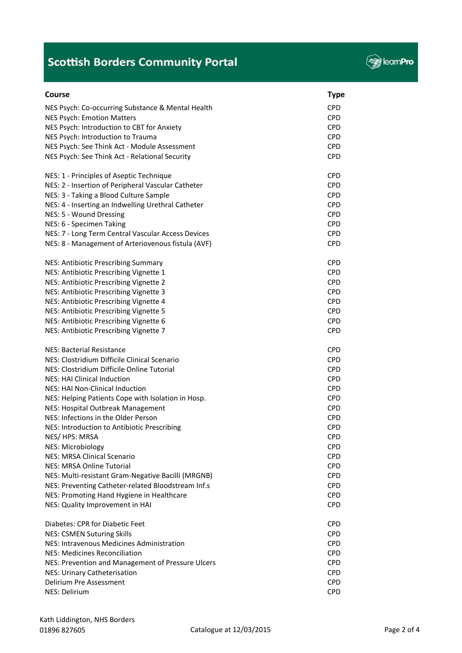

| Course                                             | <b>Type</b> |
|----------------------------------------------------|-------------|
| NES Psych: Co-occurring Substance & Mental Health  | <b>CPD</b>  |
| <b>NES Psych: Emotion Matters</b>                  | <b>CPD</b>  |
| NES Psych: Introduction to CBT for Anxiety         | <b>CPD</b>  |
| NES Psych: Introduction to Trauma                  | <b>CPD</b>  |
| NES Psych: See Think Act - Module Assessment       | <b>CPD</b>  |
| NES Psych: See Think Act - Relational Security     | <b>CPD</b>  |
|                                                    |             |
| NES: 1 - Principles of Aseptic Technique           | <b>CPD</b>  |
| NES: 2 - Insertion of Peripheral Vascular Catheter | <b>CPD</b>  |
| NES: 3 - Taking a Blood Culture Sample             | <b>CPD</b>  |
| NES: 4 - Inserting an Indwelling Urethral Catheter | <b>CPD</b>  |
| NES: 5 - Wound Dressing                            | <b>CPD</b>  |
| NES: 6 - Specimen Taking                           | <b>CPD</b>  |
| NES: 7 - Long Term Central Vascular Access Devices | <b>CPD</b>  |
| NES: 8 - Management of Arteriovenous fistula (AVF) | <b>CPD</b>  |
| NES: Antibiotic Prescribing Summary                | <b>CPD</b>  |
| NES: Antibiotic Prescribing Vignette 1             | <b>CPD</b>  |
| NES: Antibiotic Prescribing Vignette 2             | <b>CPD</b>  |
| NES: Antibiotic Prescribing Vignette 3             | <b>CPD</b>  |
| NES: Antibiotic Prescribing Vignette 4             | <b>CPD</b>  |
| NES: Antibiotic Prescribing Vignette 5             | <b>CPD</b>  |
| NES: Antibiotic Prescribing Vignette 6             | <b>CPD</b>  |
| NES: Antibiotic Prescribing Vignette 7             | <b>CPD</b>  |
|                                                    |             |
| <b>NES: Bacterial Resistance</b>                   | <b>CPD</b>  |
| NES: Clostridium Difficile Clinical Scenario       | <b>CPD</b>  |
| NES: Clostridium Difficile Online Tutorial         | <b>CPD</b>  |
| <b>NES: HAI Clinical Induction</b>                 | <b>CPD</b>  |
| NES: HAI Non-Clinical Induction                    | <b>CPD</b>  |
| NES: Helping Patients Cope with Isolation in Hosp. | <b>CPD</b>  |
| NES: Hospital Outbreak Management                  | <b>CPD</b>  |
| NES: Infections in the Older Person                | <b>CPD</b>  |
| NES: Introduction to Antibiotic Prescribing        | <b>CPD</b>  |
| NES/HPS: MRSA                                      | <b>CPD</b>  |
| <b>NES: Microbiology</b>                           | <b>CPD</b>  |
| <b>NES: MRSA Clinical Scenario</b>                 | <b>CPD</b>  |
| <b>NES: MRSA Online Tutorial</b>                   | <b>CPD</b>  |
| NES: Multi-resistant Gram-Negative Bacilli (MRGNB) | <b>CPD</b>  |
| NES: Preventing Catheter-related Bloodstream Inf.s | <b>CPD</b>  |
| NES: Promoting Hand Hygiene in Healthcare          | <b>CPD</b>  |
| NES: Quality Improvement in HAI                    | <b>CPD</b>  |
| Diabetes: CPR for Diabetic Feet                    | <b>CPD</b>  |
| <b>NES: CSMEN Suturing Skills</b>                  | <b>CPD</b>  |
| NES: Intravenous Medicines Administration          | <b>CPD</b>  |
| <b>NES: Medicines Reconciliation</b>               | <b>CPD</b>  |
| NES: Prevention and Management of Pressure Ulcers  | <b>CPD</b>  |
| NES: Urinary Catheterisation                       | <b>CPD</b>  |
| Delirium Pre Assessment                            | <b>CPD</b>  |
| NES: Delirium                                      | <b>CPD</b>  |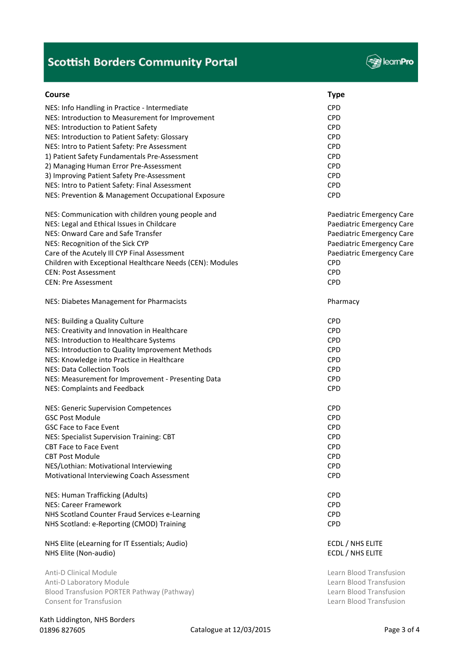

| <b>Course</b>                                             | <b>Type</b>               |
|-----------------------------------------------------------|---------------------------|
| NES: Info Handling in Practice - Intermediate             | <b>CPD</b>                |
| NES: Introduction to Measurement for Improvement          | <b>CPD</b>                |
| NES: Introduction to Patient Safety                       | <b>CPD</b>                |
| NES: Introduction to Patient Safety: Glossary             | <b>CPD</b>                |
| NES: Intro to Patient Safety: Pre Assessment              | <b>CPD</b>                |
| 1) Patient Safety Fundamentals Pre-Assessment             | <b>CPD</b>                |
| 2) Managing Human Error Pre-Assessment                    | <b>CPD</b>                |
| 3) Improving Patient Safety Pre-Assessment                | <b>CPD</b>                |
| NES: Intro to Patient Safety: Final Assessment            | <b>CPD</b>                |
| NES: Prevention & Management Occupational Exposure        | <b>CPD</b>                |
| NES: Communication with children young people and         | Paediatric Emergency Care |
| NES: Legal and Ethical Issues in Childcare                | Paediatric Emergency Care |
| NES: Onward Care and Safe Transfer                        | Paediatric Emergency Care |
| NES: Recognition of the Sick CYP                          | Paediatric Emergency Care |
| Care of the Acutely III CYP Final Assessment              | Paediatric Emergency Care |
| Children with Exceptional Healthcare Needs (CEN): Modules | <b>CPD</b>                |
| <b>CEN: Post Assessment</b>                               | <b>CPD</b>                |
| <b>CEN: Pre Assessment</b>                                | <b>CPD</b>                |
| NES: Diabetes Management for Pharmacists                  | Pharmacy                  |
| NES: Building a Quality Culture                           | <b>CPD</b>                |
| NES: Creativity and Innovation in Healthcare              | <b>CPD</b>                |
| NES: Introduction to Healthcare Systems                   | <b>CPD</b>                |
| NES: Introduction to Quality Improvement Methods          | <b>CPD</b>                |
| NES: Knowledge into Practice in Healthcare                | <b>CPD</b>                |
| <b>NES: Data Collection Tools</b>                         | <b>CPD</b>                |
| NES: Measurement for Improvement - Presenting Data        | <b>CPD</b>                |
| NES: Complaints and Feedback                              | <b>CPD</b>                |
| <b>NES: Generic Supervision Competences</b>               | <b>CPD</b>                |
| <b>GSC Post Module</b>                                    | <b>CPD</b>                |
| <b>GSC Face to Face Event</b>                             | <b>CPD</b>                |
| NES: Specialist Supervision Training: CBT                 | <b>CPD</b>                |
| <b>CBT Face to Face Event</b>                             | <b>CPD</b>                |
| <b>CBT Post Module</b>                                    | <b>CPD</b>                |
| NES/Lothian: Motivational Interviewing                    | <b>CPD</b>                |
| Motivational Interviewing Coach Assessment                | <b>CPD</b>                |
| NES: Human Trafficking (Adults)                           | <b>CPD</b>                |
| <b>NES: Career Framework</b>                              | <b>CPD</b>                |
| NHS Scotland Counter Fraud Services e-Learning            | <b>CPD</b>                |
| NHS Scotland: e-Reporting (CMOD) Training                 | <b>CPD</b>                |
| NHS Elite (eLearning for IT Essentials; Audio)            | ECDL / NHS ELITE          |
| NHS Elite (Non-audio)                                     | ECDL / NHS ELITE          |
| <b>Anti-D Clinical Module</b>                             | Learn Blood Transfusion   |
| Anti-D Laboratory Module                                  | Learn Blood Transfusion   |
| Blood Transfusion PORTER Pathway (Pathway)                | Learn Blood Transfusion   |
| <b>Consent for Transfusion</b>                            | Learn Blood Transfusion   |